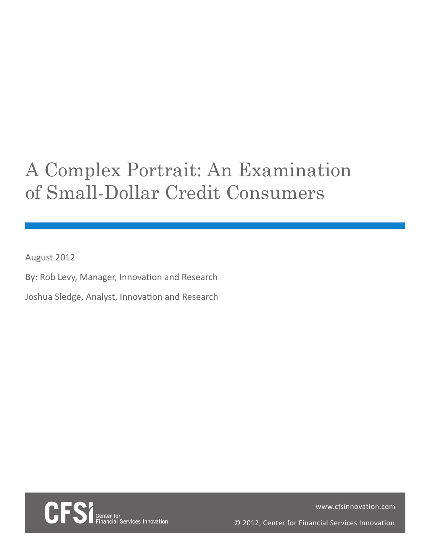# A Complex Portrait: An Examination of Small-Dollar Credit Consumers

August 2012

By: Rob Levy, Manager, Innovation and Research

Joshua Sledge, Analyst, Innovation and Research



www.cfsinnovation.com

© 2012, Center for Financial Services Innovation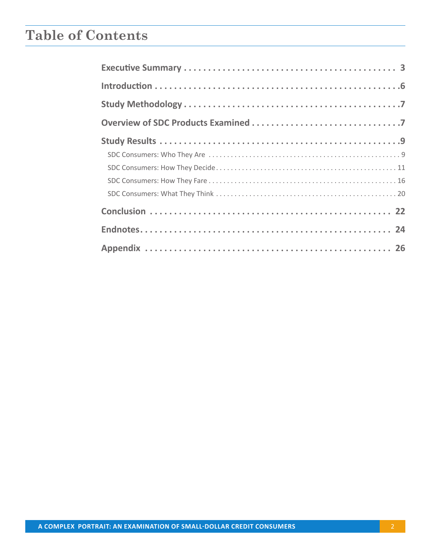## **Table of Contents**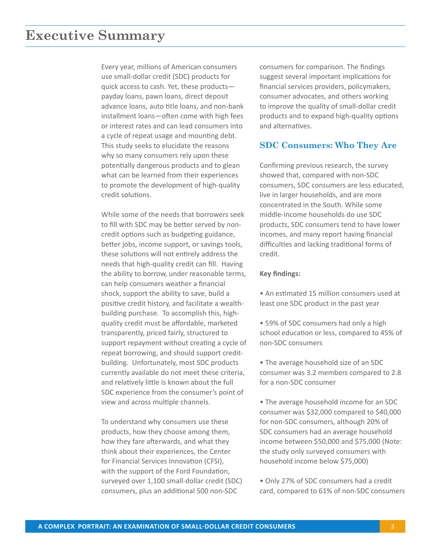## **Executive Summary**

Every year, millions of American consumers use small-dollar credit (SDC) products for quick access to cash. Yet, these products payday loans, pawn loans, direct deposit advance loans, auto title loans, and non-bank installment loans—often come with high fees or interest rates and can lead consumers into a cycle of repeat usage and mounting debt. This study seeks to elucidate the reasons why so many consumers rely upon these potentially dangerous products and to glean what can be learned from their experiences to promote the development of high-quality credit solutions.

While some of the needs that borrowers seek to fill with SDC may be better served by noncredit options such as budgeting guidance, better jobs, income support, or savings tools, these solutions will not entirely address the needs that high-quality credit can fill. Having the ability to borrow, under reasonable terms, can help consumers weather a financial shock, support the ability to save, build a positive credit history, and facilitate a wealthbuilding purchase. To accomplish this, highquality credit must be affordable, marketed transparently, priced fairly, structured to support repayment without creating a cycle of repeat borrowing, and should support creditbuilding. Unfortunately, most SDC products currently available do not meet these criteria, and relatively little is known about the full SDC experience from the consumer's point of view and across multiple channels.

To understand why consumers use these products, how they choose among them, how they fare afterwards, and what they think about their experiences, the Center for Financial Services Innovation (CFSI), with the support of the Ford Foundation, surveyed over 1,100 small-dollar credit (SDC) consumers, plus an additional 500 non-SDC

consumers for comparison. The findings suggest several important implications for financial services providers, policymakers, consumer advocates, and others working to improve the quality of small-dollar credit products and to expand high-quality options and alternatives.

### **SDC Consumers: Who They Are**

Confirming previous research, the survey showed that, compared with non-SDC consumers, SDC consumers are less educated, live in larger households, and are more concentrated in the South. While some middle-income households do use SDC products, SDC consumers tend to have lower incomes, and many report having financial difficulties and lacking traditional forms of credit.

#### **Key findings:**

• An estimated 15 million consumers used at least one SDC product in the past year

- 59% of SDC consumers had only a high school education or less, compared to 45% of non-SDC consumers
- The average household size of an SDC consumer was 3.2 members compared to 2.8 for a non-SDC consumer

• The average household income for an SDC consumer was \$32,000 compared to \$40,000 for non-SDC consumers, although 20% of SDC consumers had an average household income between \$50,000 and \$75,000 (Note: the study only surveyed consumers with household income below \$75,000)

• Only 27% of SDC consumers had a credit card, compared to 61% of non-SDC consumers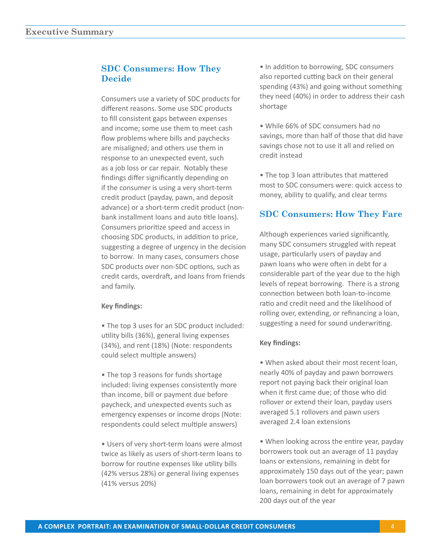## **SDC Consumers: How They Decide**

Consumers use a variety of SDC products for different reasons. Some use SDC products to fill consistent gaps between expenses and income; some use them to meet cash flow problems where bills and paychecks are misaligned; and others use them in response to an unexpected event, such as a job loss or car repair. Notably these findings differ significantly depending on if the consumer is using a very short-term credit product (payday, pawn, and deposit advance) or a short-term credit product (nonbank installment loans and auto title loans). Consumers prioritize speed and access in choosing SDC products, in addition to price, suggesting a degree of urgency in the decision to borrow. In many cases, consumers chose SDC products over non-SDC options, such as credit cards, overdraft, and loans from friends and family.

## **Key findings:**

• The top 3 uses for an SDC product included: utility bills (36%), general living expenses (34%), and rent (18%) (Note: respondents could select multiple answers)

• The top 3 reasons for funds shortage included: living expenses consistently more than income, bill or payment due before paycheck, and unexpected events such as emergency expenses or income drops (Note: respondents could select multiple answers)

• Users of very short-term loans were almost twice as likely as users of short-term loans to borrow for routine expenses like utility bills (42% versus 28%) or general living expenses (41% versus 20%)

• In addition to borrowing, SDC consumers also reported cutting back on their general spending (43%) and going without something they need (40%) in order to address their cash shortage

• While 66% of SDC consumers had no savings, more than half of those that did have savings chose not to use it all and relied on credit instead

• The top 3 loan attributes that mattered most to SDC consumers were: quick access to money, ability to qualify, and clear terms

## **SDC Consumers: How They Fare**

Although experiences varied significantly, many SDC consumers struggled with repeat usage, particularly users of payday and pawn loans who were often in debt for a considerable part of the year due to the high levels of repeat borrowing. There is a strong connection between both loan-to-income ratio and credit need and the likelihood of rolling over, extending, or refinancing a loan, suggesting a need for sound underwriting.

### **Key findings:**

• When asked about their most recent loan, nearly 40% of payday and pawn borrowers report not paying back their original loan when it first came due; of those who did rollover or extend their loan, payday users averaged 5.1 rollovers and pawn users averaged 2.4 loan extensions

• When looking across the entire year, payday borrowers took out an average of 11 payday loans or extensions, remaining in debt for approximately 150 days out of the year; pawn loan borrowers took out an average of 7 pawn loans, remaining in debt for approximately 200 days out of the year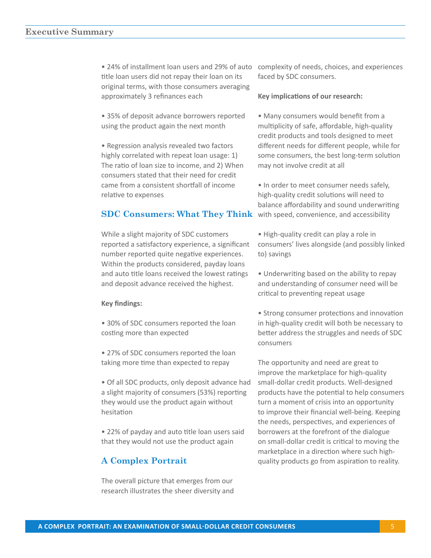• 24% of installment loan users and 29% of auto title loan users did not repay their loan on its original terms, with those consumers averaging approximately 3 refinances each

• 35% of deposit advance borrowers reported using the product again the next month

• Regression analysis revealed two factors highly correlated with repeat loan usage: 1) The ratio of loan size to income, and 2) When consumers stated that their need for credit came from a consistent shortfall of income relative to expenses

## **SDC Consumers: What They Think** with speed, convenience, and accessibility

While a slight majority of SDC customers reported a satisfactory experience, a significant number reported quite negative experiences. Within the products considered, payday loans and auto title loans received the lowest ratings and deposit advance received the highest.

#### **Key findings:**

- 30% of SDC consumers reported the loan costing more than expected
- 27% of SDC consumers reported the loan taking more time than expected to repay

• Of all SDC products, only deposit advance had a slight majority of consumers (53%) reporting they would use the product again without hesitation

• 22% of payday and auto title loan users said that they would not use the product again

## **A Complex Portrait**

The overall picture that emerges from our research illustrates the sheer diversity and complexity of needs, choices, and experiences faced by SDC consumers.

#### **Key implications of our research:**

• Many consumers would benefit from a multiplicity of safe, affordable, high-quality credit products and tools designed to meet different needs for different people, while for some consumers, the best long-term solution may not involve credit at all

• In order to meet consumer needs safely, high-quality credit solutions will need to balance affordability and sound underwriting

• High-quality credit can play a role in consumers' lives alongside (and possibly linked to) savings

• Underwriting based on the ability to repay and understanding of consumer need will be critical to preventing repeat usage

• Strong consumer protections and innovation in high-quality credit will both be necessary to better address the struggles and needs of SDC consumers

The opportunity and need are great to improve the marketplace for high-quality small-dollar credit products. Well-designed products have the potential to help consumers turn a moment of crisis into an opportunity to improve their financial well-being. Keeping the needs, perspectives, and experiences of borrowers at the forefront of the dialogue on small-dollar credit is critical to moving the marketplace in a direction where such highquality products go from aspiration to reality.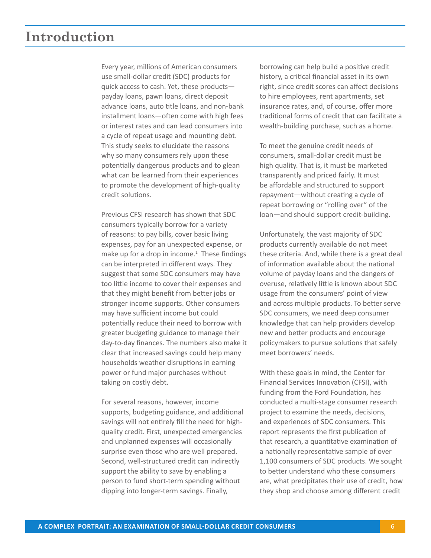## **Introduction**

Every year, millions of American consumers use small-dollar credit (SDC) products for quick access to cash. Yet, these products payday loans, pawn loans, direct deposit advance loans, auto title loans, and non-bank installment loans—often come with high fees or interest rates and can lead consumers into a cycle of repeat usage and mounting debt. This study seeks to elucidate the reasons why so many consumers rely upon these potentially dangerous products and to glean what can be learned from their experiences to promote the development of high-quality credit solutions.

Previous CFSI research has shown that SDC consumers typically borrow for a variety of reasons: to pay bills, cover basic living expenses, pay for an unexpected expense, or make up for a drop in income.<sup>1</sup> These findings can be interpreted in different ways. They suggest that some SDC consumers may have too little income to cover their expenses and that they might benefit from better jobs or stronger income supports. Other consumers may have sufficient income but could potentially reduce their need to borrow with greater budgeting guidance to manage their day-to-day finances. The numbers also make it clear that increased savings could help many households weather disruptions in earning power or fund major purchases without taking on costly debt.

For several reasons, however, income supports, budgeting guidance, and additional savings will not entirely fill the need for highquality credit. First, unexpected emergencies and unplanned expenses will occasionally surprise even those who are well prepared. Second, well-structured credit can indirectly support the ability to save by enabling a person to fund short-term spending without dipping into longer-term savings. Finally,

borrowing can help build a positive credit history, a critical financial asset in its own right, since credit scores can affect decisions to hire employees, rent apartments, set insurance rates, and, of course, offer more traditional forms of credit that can facilitate a wealth-building purchase, such as a home.

To meet the genuine credit needs of consumers, small-dollar credit must be high quality. That is, it must be marketed transparently and priced fairly. It must be affordable and structured to support repayment—without creating a cycle of repeat borrowing or "rolling over" of the loan—and should support credit-building.

Unfortunately, the vast majority of SDC products currently available do not meet these criteria. And, while there is a great deal of information available about the national volume of payday loans and the dangers of overuse, relatively little is known about SDC usage from the consumers' point of view and across multiple products. To better serve SDC consumers, we need deep consumer knowledge that can help providers develop new and better products and encourage policymakers to pursue solutions that safely meet borrowers' needs.

With these goals in mind, the Center for Financial Services Innovation (CFSI), with funding from the Ford Foundation, has conducted a multi-stage consumer research project to examine the needs, decisions, and experiences of SDC consumers. This report represents the first publication of that research, a quantitative examination of a nationally representative sample of over 1,100 consumers of SDC products. We sought to better understand who these consumers are, what precipitates their use of credit, how they shop and choose among different credit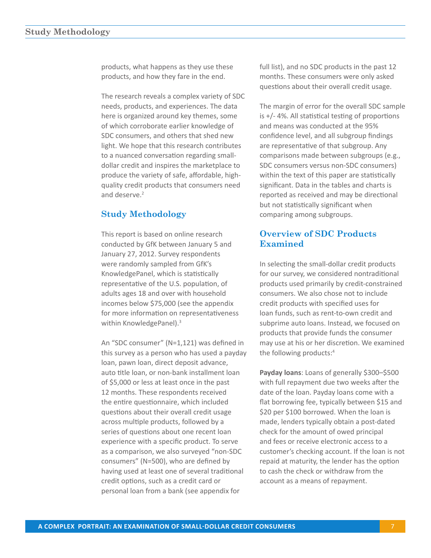products, what happens as they use these products, and how they fare in the end.

The research reveals a complex variety of SDC needs, products, and experiences. The data here is organized around key themes, some of which corroborate earlier knowledge of SDC consumers, and others that shed new light. We hope that this research contributes to a nuanced conversation regarding smalldollar credit and inspires the marketplace to produce the variety of safe, affordable, highquality credit products that consumers need and deserve.<sup>2</sup>

## **Study Methodology**

This report is based on online research conducted by GfK between January 5 and January 27, 2012. Survey respondents were randomly sampled from GfK's KnowledgePanel, which is statistically representative of the U.S. population, of adults ages 18 and over with household incomes below \$75,000 (see the appendix for more information on representativeness within KnowledgePanel).<sup>3</sup>

An "SDC consumer" (N=1,121) was defined in this survey as a person who has used a payday loan, pawn loan, direct deposit advance, auto title loan, or non-bank installment loan of \$5,000 or less at least once in the past 12 months. These respondents received the entire questionnaire, which included questions about their overall credit usage across multiple products, followed by a series of questions about one recent loan experience with a specific product. To serve as a comparison, we also surveyed "non-SDC consumers" (N=500), who are defined by having used at least one of several traditional credit options, such as a credit card or personal loan from a bank (see appendix for

full list), and no SDC products in the past 12 months. These consumers were only asked questions about their overall credit usage.

The margin of error for the overall SDC sample is +/- 4%. All statistical testing of proportions and means was conducted at the 95% confidence level, and all subgroup findings are representative of that subgroup. Any comparisons made between subgroups (e.g., SDC consumers versus non-SDC consumers) within the text of this paper are statistically significant. Data in the tables and charts is reported as received and may be directional but not statistically significant when comparing among subgroups.

## **Overview of SDC Products Examined**

In selecting the small-dollar credit products for our survey, we considered nontraditional products used primarily by credit-constrained consumers. We also chose not to include credit products with specified uses for loan funds, such as rent-to-own credit and subprime auto loans. Instead, we focused on products that provide funds the consumer may use at his or her discretion. We examined the following products:<sup>4</sup>

**Payday loans**: Loans of generally \$300–\$500 with full repayment due two weeks after the date of the loan. Payday loans come with a flat borrowing fee, typically between \$15 and \$20 per \$100 borrowed. When the loan is made, lenders typically obtain a post-dated check for the amount of owed principal and fees or receive electronic access to a customer's checking account. If the loan is not repaid at maturity, the lender has the option to cash the check or withdraw from the account as a means of repayment.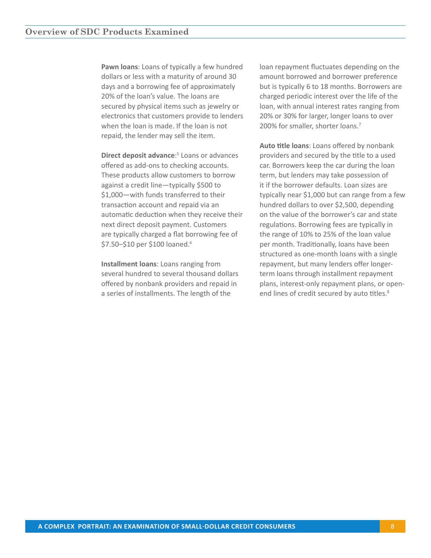**Pawn loans**: Loans of typically a few hundred dollars or less with a maturity of around 30 days and a borrowing fee of approximately 20% of the loan's value. The loans are secured by physical items such as jewelry or electronics that customers provide to lenders when the loan is made. If the loan is not repaid, the lender may sell the item.

Direct deposit advance:<sup>5</sup> Loans or advances offered as add-ons to checking accounts. These products allow customers to borrow against a credit line—typically \$500 to \$1,000—with funds transferred to their transaction account and repaid via an automatic deduction when they receive their next direct deposit payment. Customers are typically charged a flat borrowing fee of \$7.50-\$10 per \$100 loaned.<sup>6</sup>

**Installment loans**: Loans ranging from several hundred to several thousand dollars offered by nonbank providers and repaid in a series of installments. The length of the

loan repayment fluctuates depending on the amount borrowed and borrower preference but is typically 6 to 18 months. Borrowers are charged periodic interest over the life of the loan, with annual interest rates ranging from 20% or 30% for larger, longer loans to over 200% for smaller, shorter loans.<sup>7</sup>

**Auto title loans**: Loans offered by nonbank providers and secured by the title to a used car. Borrowers keep the car during the loan term, but lenders may take possession of it if the borrower defaults. Loan sizes are typically near \$1,000 but can range from a few hundred dollars to over \$2,500, depending on the value of the borrower's car and state regulations. Borrowing fees are typically in the range of 10% to 25% of the loan value per month. Traditionally, loans have been structured as one-month loans with a single repayment, but many lenders offer longerterm loans through installment repayment plans, interest-only repayment plans, or openend lines of credit secured by auto titles.<sup>8</sup>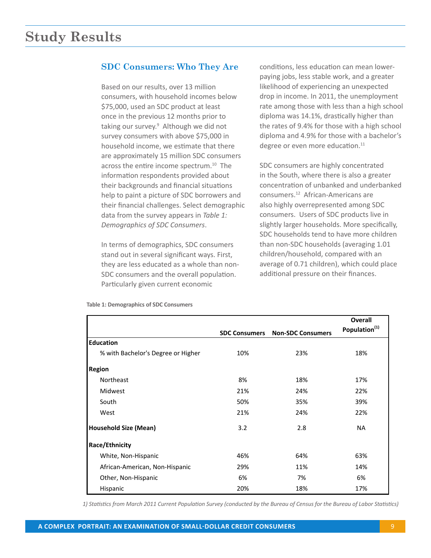## **SDC Consumers: Who They Are**

Based on our results, over 13 million consumers, with household incomes below \$75,000, used an SDC product at least once in the previous 12 months prior to taking our survey.<sup>9</sup> Although we did not survey consumers with above \$75,000 in household income, we estimate that there are approximately 15 million SDC consumers across the entire income spectrum.<sup>10</sup> The information respondents provided about their backgrounds and financial situations help to paint a picture of SDC borrowers and their financial challenges. Select demographic data from the survey appears in *Table 1: Demographics of SDC Consumers*.

In terms of demographics, SDC consumers stand out in several significant ways. First, they are less educated as a whole than non-SDC consumers and the overall population. Particularly given current economic

conditions, less education can mean lowerpaying jobs, less stable work, and a greater likelihood of experiencing an unexpected drop in income. In 2011, the unemployment rate among those with less than a high school diploma was 14.1%, drastically higher than the rates of 9.4% for those with a high school diploma and 4.9% for those with a bachelor's degree or even more education.<sup>11</sup>

SDC consumers are highly concentrated in the South, where there is also a greater concentration of unbanked and underbanked consumers.<sup>12</sup> African-Americans are also highly overrepresented among SDC consumers. Users of SDC products live in slightly larger households. More specifically, SDC households tend to have more children than non-SDC households (averaging 1.01 children/household, compared with an average of 0.71 children), which could place additional pressure on their finances.

|                                    |                      |                          | <b>Overall</b>            |
|------------------------------------|----------------------|--------------------------|---------------------------|
|                                    | <b>SDC Consumers</b> | <b>Non-SDC Consumers</b> | Population <sup>(1)</sup> |
| <b>Education</b>                   |                      |                          |                           |
| % with Bachelor's Degree or Higher | 10%                  | 23%                      | 18%                       |
| <b>Region</b>                      |                      |                          |                           |
| Northeast                          | 8%                   | 18%                      | 17%                       |
| Midwest                            | 21%                  | 24%                      | 22%                       |
| South                              | 50%                  | 35%                      | 39%                       |
| West                               | 21%                  | 24%                      | 22%                       |
| <b>Household Size (Mean)</b>       | 3.2                  | 2.8                      | NA.                       |
| Race/Ethnicity                     |                      |                          |                           |
| White, Non-Hispanic                | 46%                  | 64%                      | 63%                       |
| African-American, Non-Hispanic     | 29%                  | 11%                      | 14%                       |
| Other, Non-Hispanic                | 6%                   | 7%                       | 6%                        |
| Hispanic                           | 20%                  | 18%                      | 17%                       |

**Table 1: Demographics of SDC Consumers**

*1) Statistics from March 2011 Current Population Survey (conducted by the Bureau of Census for the Bureau of Labor Statistics)*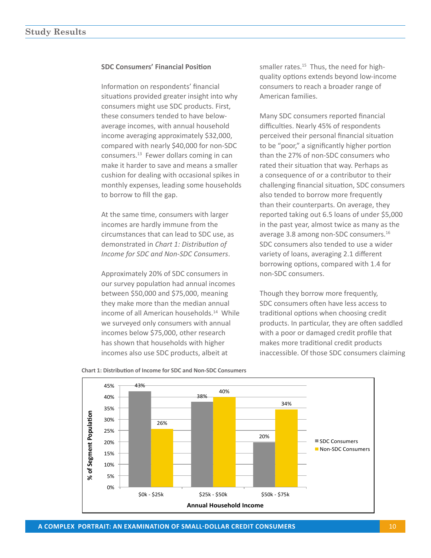#### **SDC Consumers' Financial Position**

Information on respondents' financial situations provided greater insight into why consumers might use SDC products. First, these consumers tended to have belowaverage incomes, with annual household income averaging approximately \$32,000, compared with nearly \$40,000 for non-SDC consumers.<sup>13</sup> Fewer dollars coming in can make it harder to save and means a smaller cushion for dealing with occasional spikes in monthly expenses, leading some households to borrow to fill the gap.

At the same time, consumers with larger incomes are hardly immune from the circumstances that can lead to SDC use, as demonstrated in *Chart 1: Distribution of Income for SDC and Non-SDC Consumers*.

Approximately 20% of SDC consumers in our survey population had annual incomes between \$50,000 and \$75,000, meaning they make more than the median annual income of all American households.<sup>14</sup> While we surveyed only consumers with annual incomes below \$75,000, other research has shown that households with higher incomes also use SDC products, albeit at

smaller rates.<sup>15</sup> Thus, the need for highquality options extends beyond low-income consumers to reach a broader range of American families.

Many SDC consumers reported financial difficulties. Nearly 45% of respondents perceived their personal financial situation to be "poor," a significantly higher portion than the 27% of non-SDC consumers who rated their situation that way. Perhaps as a consequence of or a contributor to their challenging financial situation, SDC consumers also tended to borrow more frequently than their counterparts. On average, they reported taking out 6.5 loans of under \$5,000 in the past year, almost twice as many as the average 3.8 among non-SDC consumers.16 SDC consumers also tended to use a wider variety of loans, averaging 2.1 different borrowing options, compared with 1.4 for non-SDC consumers.

Though they borrow more frequently, SDC consumers often have less access to traditional options when choosing credit products. In particular, they are often saddled with a poor or damaged credit profile that makes more traditional credit products inaccessible. Of those SDC consumers claiming



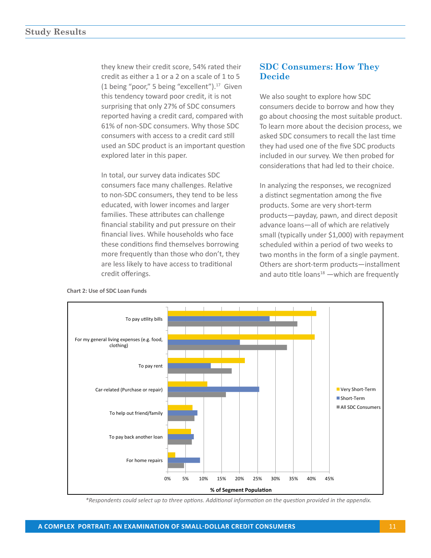they knew their credit score, 54% rated their credit as either a 1 or a 2 on a scale of 1 to 5 (1 being "poor," 5 being "excellent"). $17$  Given this tendency toward poor credit, it is not surprising that only 27% of SDC consumers reported having a credit card, compared with 61% of non-SDC consumers. Why those SDC consumers with access to a credit card still used an SDC product is an important question explored later in this paper.

In total, our survey data indicates SDC consumers face many challenges. Relative to non-SDC consumers, they tend to be less educated, with lower incomes and larger families. These attributes can challenge financial stability and put pressure on their financial lives. While households who face these conditions find themselves borrowing more frequently than those who don't, they are less likely to have access to traditional credit offerings.

## **SDC Consumers: How They Decide**

We also sought to explore how SDC consumers decide to borrow and how they go about choosing the most suitable product. To learn more about the decision process, we asked SDC consumers to recall the last time they had used one of the five SDC products included in our survey. We then probed for considerations that had led to their choice.

In analyzing the responses, we recognized a distinct segmentation among the five products. Some are very short-term products—payday, pawn, and direct deposit advance loans—all of which are relatively small (typically under \$1,000) with repayment scheduled within a period of two weeks to two months in the form of a single payment. Others are short-term products—installment and auto title loans $18$  -which are frequently



#### **Chart 2: Use of SDC Loan Funds**

*\*Respondents could select up to three options. Additional information on the question provided in the appendix.*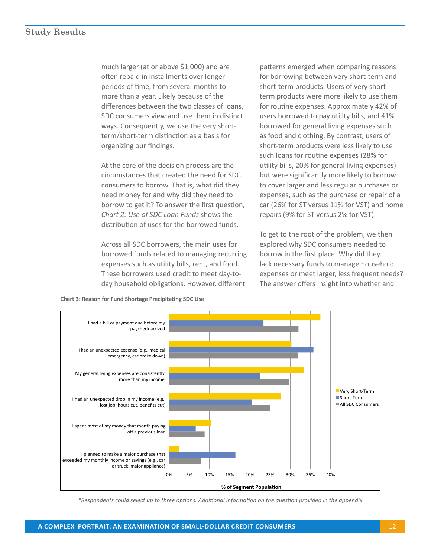much larger (at or above \$1,000) and are often repaid in installments over longer periods of time, from several months to more than a year. Likely because of the differences between the two classes of loans, SDC consumers view and use them in distinct ways. Consequently, we use the very shortterm/short-term distinction as a basis for organizing our findings.

At the core of the decision process are the circumstances that created the need for SDC consumers to borrow. That is, what did they need money for and why did they need to borrow to get it? To answer the first question, *Chart 2: Use of SDC Loan Funds* shows the distribution of uses for the borrowed funds.

Across all SDC borrowers, the main uses for borrowed funds related to managing recurring expenses such as utility bills, rent, and food. These borrowers used credit to meet day-today household obligations. However, different

patterns emerged when comparing reasons for borrowing between very short-term and short-term products. Users of very shortterm products were more likely to use them for routine expenses. Approximately 42% of users borrowed to pay utility bills, and 41% borrowed for general living expenses such as food and clothing. By contrast, users of short-term products were less likely to use such loans for routine expenses (28% for utility bills, 20% for general living expenses) but were significantly more likely to borrow to cover larger and less regular purchases or expenses, such as the purchase or repair of a car (26% for ST versus 11% for VST) and home repairs (9% for ST versus 2% for VST).

To get to the root of the problem, we then explored why SDC consumers needed to borrow in the first place. Why did they lack necessary funds to manage household expenses or meet larger, less frequent needs? The answer offers insight into whether and

#### **Chart 3: Reason for Fund Shortage Precipitating SDC Use**



*\*Respondents could select up to three options. Additional information on the question provided in the appendix.*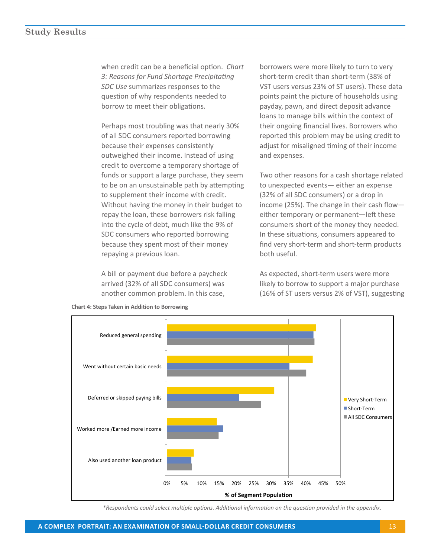when credit can be a beneficial option. *Chart 3: Reasons for Fund Shortage Precipitating SDC Use* summarizes responses to the question of why respondents needed to borrow to meet their obligations.

Perhaps most troubling was that nearly 30% of all SDC consumers reported borrowing because their expenses consistently outweighed their income. Instead of using credit to overcome a temporary shortage of funds or support a large purchase, they seem to be on an unsustainable path by attempting to supplement their income with credit. Without having the money in their budget to repay the loan, these borrowers risk falling into the cycle of debt, much like the 9% of SDC consumers who reported borrowing because they spent most of their money repaying a previous loan.

A bill or payment due before a paycheck arrived (32% of all SDC consumers) was another common problem. In this case,

**Chart 4: Steps Taken in Addition to Borrowing**

borrowers were more likely to turn to very short-term credit than short-term (38% of VST users versus 23% of ST users). These data points paint the picture of households using payday, pawn, and direct deposit advance loans to manage bills within the context of their ongoing financial lives. Borrowers who reported this problem may be using credit to adjust for misaligned timing of their income and expenses.

Two other reasons for a cash shortage related to unexpected events— either an expense (32% of all SDC consumers) or a drop in income (25%). The change in their cash flow either temporary or permanent—left these consumers short of the money they needed. In these situations, consumers appeared to find very short-term and short-term products both useful.

As expected, short-term users were more likely to borrow to support a major purchase (16% of ST users versus 2% of VST), suggesting



 *\*Respondents could select multiple options. Additional information on the question provided in the appendix.*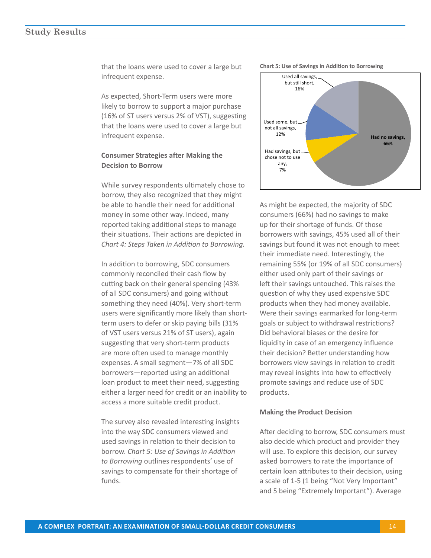that the loans were used to cover a large but infrequent expense.

As expected, Short-Term users were more likely to borrow to support a major purchase (16% of ST users versus 2% of VST), suggesting that the loans were used to cover a large but infrequent expense.

#### **Consumer Strategies after Making the Decision to Borrow**

While survey respondents ultimately chose to borrow, they also recognized that they might be able to handle their need for additional money in some other way. Indeed, many reported taking additional steps to manage their situations. Their actions are depicted in *Chart 4: Steps Taken in Addition to Borrowing.*

In addition to borrowing, SDC consumers commonly reconciled their cash flow by cutting back on their general spending (43% of all SDC consumers) and going without something they need (40%). Very short-term users were significantly more likely than shortterm users to defer or skip paying bills (31% of VST users versus 21% of ST users), again suggesting that very short-term products are more often used to manage monthly expenses. A small segment—7% of all SDC borrowers—reported using an additional loan product to meet their need, suggesting either a larger need for credit or an inability to access a more suitable credit product.

The survey also revealed interesting insights into the way SDC consumers viewed and used savings in relation to their decision to borrow. *Chart 5: Use of Savings in Addition to Borrowing* outlines respondents' use of savings to compensate for their shortage of funds.





As might be expected, the majority of SDC consumers (66%) had no savings to make up for their shortage of funds. Of those borrowers with savings, 45% used all of their savings but found it was not enough to meet their immediate need. Interestingly, the remaining 55% (or 19% of all SDC consumers) either used only part of their savings or left their savings untouched. This raises the question of why they used expensive SDC products when they had money available. Were their savings earmarked for long-term goals or subject to withdrawal restrictions? Did behavioral biases or the desire for liquidity in case of an emergency influence their decision? Better understanding how borrowers view savings in relation to credit may reveal insights into how to effectively promote savings and reduce use of SDC products.

#### **Making the Product Decision**

After deciding to borrow, SDC consumers must also decide which product and provider they will use. To explore this decision, our survey asked borrowers to rate the importance of certain loan attributes to their decision, using a scale of 1-5 (1 being "Not Very Important" and 5 being "Extremely Important"). Average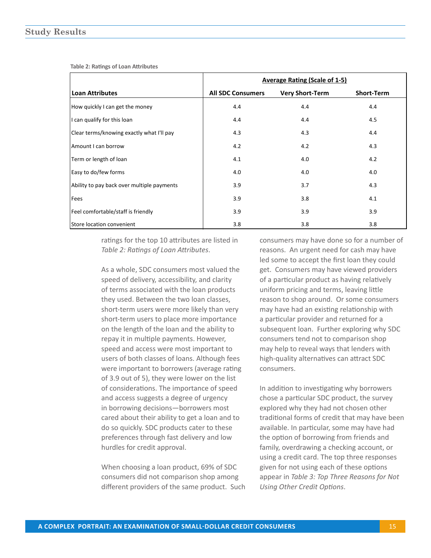**Table 2: Ratings of Loan Attributes**

|                                            |                          | <b>Average Rating (Scale of 1-5)</b> |                   |
|--------------------------------------------|--------------------------|--------------------------------------|-------------------|
| <b>Loan Attributes</b>                     | <b>All SDC Consumers</b> | <b>Very Short-Term</b>               | <b>Short-Term</b> |
| How quickly I can get the money            | 4.4                      | 4.4                                  | 4.4               |
| I can qualify for this loan                | 4.4                      | 4.4                                  | 4.5               |
| Clear terms/knowing exactly what I'll pay  | 4.3                      | 4.3                                  | 4.4               |
| Amount I can borrow                        | 4.2                      | 4.2                                  | 4.3               |
| Term or length of loan                     | 4.1                      | 4.0                                  | 4.2               |
| Easy to do/few forms                       | 4.0                      | 4.0                                  | 4.0               |
| Ability to pay back over multiple payments | 3.9                      | 3.7                                  | 4.3               |
| Fees                                       | 3.9                      | 3.8                                  | 4.1               |
| Feel comfortable/staff is friendly         | 3.9                      | 3.9                                  | 3.9               |
| Store location convenient                  | 3.8                      | 3.8                                  | 3.8               |

ratings for the top 10 attributes are listed in *Table 2: Ratings of Loan Attributes*.

As a whole, SDC consumers most valued the speed of delivery, accessibility, and clarity of terms associated with the loan products they used. Between the two loan classes, short-term users were more likely than very short-term users to place more importance on the length of the loan and the ability to repay it in multiple payments. However, speed and access were most important to users of both classes of loans. Although fees were important to borrowers (average rating of 3.9 out of 5), they were lower on the list of considerations. The importance of speed and access suggests a degree of urgency in borrowing decisions—borrowers most cared about their ability to get a loan and to do so quickly. SDC products cater to these preferences through fast delivery and low hurdles for credit approval.

When choosing a loan product, 69% of SDC consumers did not comparison shop among different providers of the same product. Such

consumers may have done so for a number of reasons. An urgent need for cash may have led some to accept the first loan they could get. Consumers may have viewed providers of a particular product as having relatively uniform pricing and terms, leaving little reason to shop around. Or some consumers may have had an existing relationship with a particular provider and returned for a subsequent loan. Further exploring why SDC consumers tend not to comparison shop may help to reveal ways that lenders with high-quality alternatives can attract SDC consumers.

In addition to investigating why borrowers chose a particular SDC product, the survey explored why they had not chosen other traditional forms of credit that may have been available. In particular, some may have had the option of borrowing from friends and family, overdrawing a checking account, or using a credit card. The top three responses given for not using each of these options appear in *Table 3: Top Three Reasons for Not Using Other Credit Options*.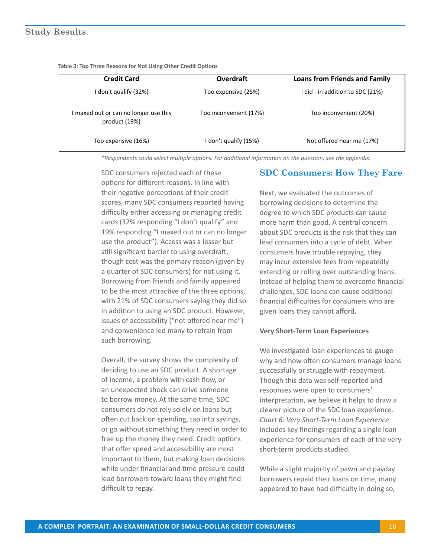| <b>Credit Card</b>                                     | <b>Overdraft</b>       | <b>Loans from Friends and Family</b> |
|--------------------------------------------------------|------------------------|--------------------------------------|
| I don't qualify (32%)                                  | Too expensive (25%)    | I did - in addition to SDC (21%)     |
| I maxed out or can no longer use this<br>product (19%) | Too inconvenient (17%) | Too inconvenient (20%)               |
| Too expensive (16%)                                    | I don't qualify (15%)  | Not offered near me (17%)            |

**Table 3: Top Three Reasons for Not Using Other Credit Options**

*\*Respondents could select multiple options. For additional information on the question, see the appendix.* 

SDC consumers rejected each of these options for different reasons. In line with their negative perceptions of their credit scores, many SDC consumers reported having difficulty either accessing or managing credit cards (32% responding "I don't qualify" and 19% responding "I maxed out or can no longer use the product"). Access was a lesser but still significant barrier to using overdraft, though cost was the primary reason (given by a quarter of SDC consumers) for not using it. Borrowing from friends and family appeared to be the most attractive of the three options, with 21% of SDC consumers saying they did so in addition to using an SDC product. However, issues of accessibility ("not offered near me") and convenience led many to refrain from such borrowing.

Overall, the survey shows the complexity of deciding to use an SDC product. A shortage of income, a problem with cash flow, or an unexpected shock can drive someone to borrow money. At the same time, SDC consumers do not rely solely on loans but often cut back on spending, tap into savings, or go without something they need in order to free up the money they need. Credit options that offer speed and accessibility are most important to them, but making loan decisions while under financial and time pressure could lead borrowers toward loans they might find difficult to repay.

## **SDC Consumers: How They Fare**

Next, we evaluated the outcomes of borrowing decisions to determine the degree to which SDC products can cause more harm than good. A central concern about SDC products is the risk that they can lead consumers into a cycle of debt. When consumers have trouble repaying, they may incur extensive fees from repeatedly extending or rolling over outstanding loans. Instead of helping them to overcome financial challenges, SDC loans can cause additional financial difficulties for consumers who are given loans they cannot afford.

### **Very Short-Term Loan Experiences**

We investigated loan experiences to gauge why and how often consumers manage loans successfully or struggle with repayment. Though this data was self-reported and responses were open to consumers' interpretation, we believe it helps to draw a clearer picture of the SDC loan experience. *Chart 6: Very Short-Term Loan Experience* includes key findings regarding a single loan experience for consumers of each of the very short-term products studied.

While a slight majority of pawn and payday borrowers repaid their loans on time, many appeared to have had difficulty in doing so,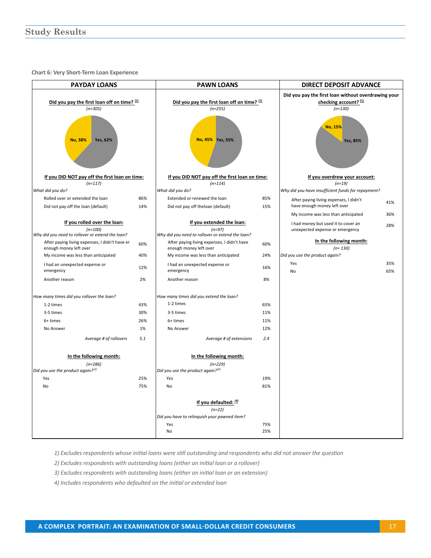**Chart 6: Very Short-Term Loan Experience**

| <b>PAYDAY LOANS</b>                                                      |     | <b>PAWN LOANS</b>                                                                                                                                       |     | <b>DIRECT DEPOSIT ADVANCE</b>                                          |            |
|--------------------------------------------------------------------------|-----|---------------------------------------------------------------------------------------------------------------------------------------------------------|-----|------------------------------------------------------------------------|------------|
| Did you pay the first loan off on time? [1]<br>$(n=305)$                 |     | Did you pay the first loan without overdrawing your<br>Did you pay the first loan off on time? [1]<br>checking account? $(1)$<br>$(n=255)$<br>$(n=130)$ |     |                                                                        |            |
| <b>No. 38%</b><br><b>Yes, 62%</b>                                        |     | No, 45% Yes, 55%                                                                                                                                        |     | No, 15%<br><b>Yes, 85%</b>                                             |            |
| If you DID NOT pay off the first loan on time:<br>$(n=117)$              |     | If you DID NOT pay off the first loan on time:<br>$(n=114)$                                                                                             |     | If you overdrew your account:<br>$(n=19)$                              |            |
| What did you do?                                                         |     | What did you do?                                                                                                                                        |     | Why did you have insufficient funds for repayment?                     |            |
| Rolled over or extended the loan                                         | 86% | Extended or renewed the loan                                                                                                                            | 85% | After paying living expenses, I didn't                                 | 41%        |
| Did not pay off the loan (default)                                       | 14% | Did not pay off theloan (default)                                                                                                                       | 15% | have enough money left over                                            |            |
|                                                                          |     |                                                                                                                                                         |     | My income was less than anticipated                                    | 36%        |
| If you rolled over the loan:<br>$(n=100)$                                |     | If you extended the loan:<br>$(n=97)$                                                                                                                   |     | I had money but used it to cover an<br>unexpected expense or emergency | 28%        |
| Why did you need to rollover or extend the loan?                         |     | Why did you need to rollover or extend the loan?                                                                                                        |     |                                                                        |            |
| After paying living expenses, I didn't have er<br>enough money left over | 60% | After paying living expenses, I didn't have<br>enough money left over                                                                                   | 60% | In the following month:<br>$(n=130)$                                   |            |
| My income was less than anticipated                                      | 40% | My income was less than anticipated                                                                                                                     | 24% | Did you use the product again?                                         |            |
| I had an unexpected expense or<br>emergency                              | 12% | I had an unexpected expense or<br>emergency                                                                                                             | 16% | Yes<br><b>No</b>                                                       | 35%<br>65% |
| Another reason                                                           | 2%  | Another reason                                                                                                                                          | 8%  |                                                                        |            |
| How many times did you rollover the loan?                                |     | How many times did you extend the loan?                                                                                                                 |     |                                                                        |            |
| 1-2 times                                                                | 43% | 1-2 times                                                                                                                                               | 65% |                                                                        |            |
| 3-5 times                                                                | 30% | 3-5 times                                                                                                                                               | 11% |                                                                        |            |
| 6+ times                                                                 | 26% | 6+ times                                                                                                                                                | 11% |                                                                        |            |
| No Answer                                                                | 1%  | No Answer                                                                                                                                               | 12% |                                                                        |            |
| Average # of rollovers                                                   | 5.1 | Average # of extensions                                                                                                                                 | 2.4 |                                                                        |            |
| In the following month:                                                  |     | In the following month:                                                                                                                                 |     |                                                                        |            |
| $(n=286)$                                                                |     | $(n=229)$                                                                                                                                               |     |                                                                        |            |
| Did you use the product again?(2)<br>Yes                                 | 25% | Did you use the product again? $(3)$<br>Yes                                                                                                             | 19% |                                                                        |            |
| <b>No</b>                                                                | 75% | <b>No</b>                                                                                                                                               | 81% |                                                                        |            |
|                                                                          |     |                                                                                                                                                         |     |                                                                        |            |
|                                                                          |     | If you defaulted: $\frac{4}{3}$<br>$(n=22)$                                                                                                             |     |                                                                        |            |
|                                                                          |     | Did you have to relinguish your pawned item?                                                                                                            |     |                                                                        |            |
|                                                                          |     | Yes                                                                                                                                                     | 75% |                                                                        |            |
|                                                                          |     | No                                                                                                                                                      | 25% |                                                                        |            |

*1) Excludes respondents whose initial loans were still outstanding and respondents who did not answer the question*

*2) Excludes respondents with outstanding loans (either an initial loan or a rollover)*

*3) Excludes respondents with outstanding loans (either an initial loan or an extension)*

*4) Includes respondents who defaulted on the initial or extended loan*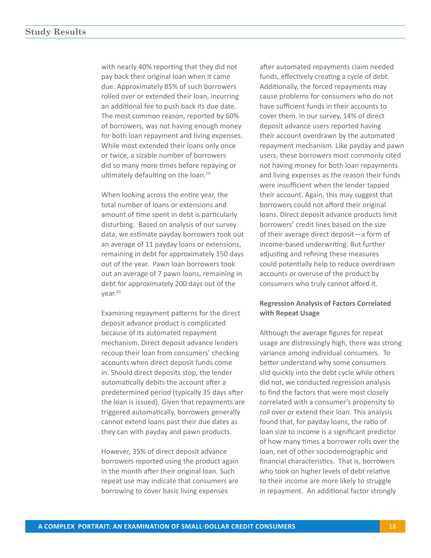with nearly 40% reporting that they did not pay back their original loan when it came due. Approximately 85% of such borrowers rolled over or extended their loan, incurring an additional fee to push back its due date. The most common reason, reported by 60% of borrowers, was not having enough money for both loan repayment and living expenses. While most extended their loans only once or twice, a sizable number of borrowers did so many more times before repaying or ultimately defaulting on the loan.<sup>19</sup>

When looking across the entire year, the total number of loans or extensions and amount of time spent in debt is particularly disturbing. Based on analysis of our survey data, we estimate payday borrowers took out an average of 11 payday loans or extensions, remaining in debt for approximately 150 days out of the year. Pawn loan borrowers took out an average of 7 pawn loans, remaining in debt for approximately 200 days out of the year. 20

Examining repayment patterns for the direct deposit advance product is complicated because of its automated repayment mechanism. Direct deposit advance lenders recoup their loan from consumers' checking accounts when direct deposit funds come in. Should direct deposits stop, the lender automatically debits the account after a predetermined period (typically 35 days after the loan is issued). Given that repayments are triggered automatically, borrowers generally cannot extend loans past their due dates as they can with payday and pawn products.

However, 35% of direct deposit advance borrowers reported using the product again in the month after their original loan. Such repeat use may indicate that consumers are borrowing to cover basic living expenses

after automated repayments claim needed funds, effectively creating a cycle of debt. Additionally, the forced repayments may cause problems for consumers who do not have sufficient funds in their accounts to cover them. In our survey, 14% of direct deposit advance users reported having their account overdrawn by the automated repayment mechanism. Like payday and pawn users, these borrowers most commonly cited not having money for both loan repayments and living expenses as the reason their funds were insufficient when the lender tapped their account. Again, this may suggest that borrowers could not afford their original loans. Direct deposit advance products limit borrowers' credit lines based on the size of their average direct deposit—a form of income-based underwriting. But further adjusting and refining these measures could potentially help to reduce overdrawn accounts or overuse of the product by consumers who truly cannot afford it.

### **Regression Analysis of Factors Correlated with Repeat Usage**

Although the average figures for repeat usage are distressingly high, there was strong variance among individual consumers. To better understand why some consumers slid quickly into the debt cycle while others did not, we conducted regression analysis to find the factors that were most closely correlated with a consumer's propensity to roll over or extend their loan. This analysis found that, for payday loans, the ratio of loan size to income is a significant predictor of how many times a borrower rolls over the loan, net of other sociodemographic and financial characteristics. That is, borrowers who took on higher levels of debt relative to their income are more likely to struggle in repayment. An additional factor strongly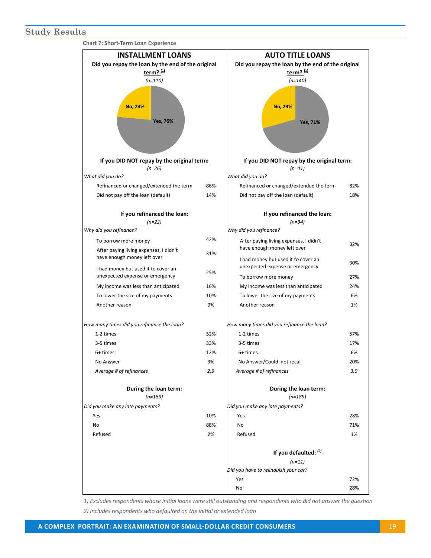| <b>INSTALLMENT LOANS</b>                                                                |     | <b>AUTO TITLE LOANS</b>                                                                 |     |  |  |
|-----------------------------------------------------------------------------------------|-----|-----------------------------------------------------------------------------------------|-----|--|--|
| Did you repay the loan by the end of the original<br>term? $\frac{(1)}{2}$<br>$(n=110)$ |     | Did you repay the loan by the end of the original<br>term? $\frac{(1)}{2}$<br>$(n=140)$ |     |  |  |
| No, 24%<br>Yes, 76%                                                                     |     | No, 29%<br>Yes, 71%                                                                     |     |  |  |
| If you DID NOT repay by the original term:<br>$(n=26)$                                  |     | If you DID NOT repay by the original term:<br>$(n=41)$                                  |     |  |  |
| What did you do?                                                                        |     | What did you do?                                                                        |     |  |  |
| Refinanced or changed/extended the term                                                 | 86% | Refinanced or changed/extended the term                                                 | 82% |  |  |
| Did not pay off the loan (default)                                                      | 14% | Did not pay off the loan (default)                                                      | 18% |  |  |
| If you refinanced the loan:<br>$(n=22)$                                                 |     | If you refinanced the loan:<br>$(n=34)$                                                 |     |  |  |
| Why did you refinance?                                                                  |     | Why did you refinance?                                                                  |     |  |  |
| To borrow more money                                                                    | 42% | After paying living expenses, I didn't<br>have enough money left over                   | 32% |  |  |
| After paying living expenses, I didn't<br>have enough money left over                   | 31% | I had money but used it to cover an                                                     | 30% |  |  |
| I had money but used it to cover an                                                     | 25% | unexpected expense or emergency                                                         |     |  |  |
| unexpected expense or emergency                                                         |     | To borrow more money                                                                    | 27% |  |  |
| My income was less than anticipated                                                     | 16% | My income was less than anticipated                                                     | 24% |  |  |
| To lower the size of my payments                                                        | 10% | To lower the size of my payments                                                        | 6%  |  |  |
| Another reason                                                                          | 9%  | Another reason                                                                          | 1%  |  |  |
| How many times did you refinance the loan?                                              |     | How many times did you refinance the loan?                                              |     |  |  |
| 1-2 times                                                                               | 52% | 1-2 times                                                                               | 57% |  |  |
| 3-5 times                                                                               | 33% | 3-5 times                                                                               | 17% |  |  |
| 6+ times                                                                                | 12% | 6+ times                                                                                | 6%  |  |  |
| No Answer                                                                               | 3%  | No Answer/Could not recall                                                              | 20% |  |  |
| Average # of refinances                                                                 | 2.9 | Average # of refinances                                                                 | 3.0 |  |  |
| During the loan term:<br>$(n=189)$                                                      |     | During the loan term:<br>$(n=189)$                                                      |     |  |  |
| Did you make any late payments?                                                         |     | Did you make any late payments?                                                         |     |  |  |
| Yes                                                                                     | 10% | Yes                                                                                     | 28% |  |  |
| No                                                                                      | 88% | No                                                                                      | 71% |  |  |
| Refused                                                                                 | 2%  | Refused                                                                                 | 1%  |  |  |
|                                                                                         |     |                                                                                         |     |  |  |
|                                                                                         |     | If you defaulted: $\frac{2}{2}$                                                         |     |  |  |
|                                                                                         |     | $(n=11)$                                                                                |     |  |  |
|                                                                                         |     | Did you have to relinguish your car?                                                    |     |  |  |
|                                                                                         |     | Yes                                                                                     | 72% |  |  |
|                                                                                         |     | No                                                                                      | 28% |  |  |

*1) Excludes respondents whose initial loans were still outstanding and respondents who did not answer the question 2) Includes respondents who defaulted on the initial or extended loan*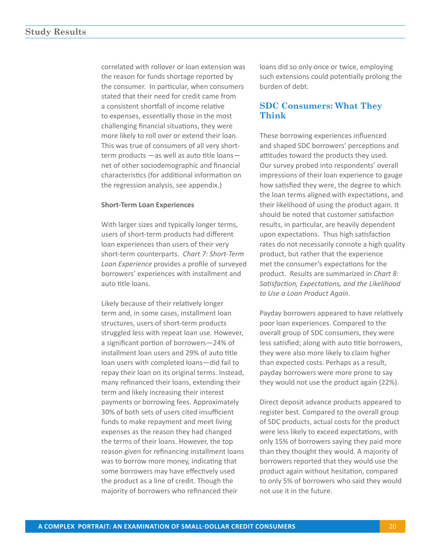correlated with rollover or loan extension was the reason for funds shortage reported by the consumer. In particular, when consumers stated that their need for credit came from a consistent shortfall of income relative to expenses, essentially those in the most challenging financial situations, they were more likely to roll over or extend their loan. This was true of consumers of all very shortterm products —as well as auto title loans net of other sociodemographic and financial characteristics (for additional information on the regression analysis, see appendix.)

#### **Short-Term Loan Experiences**

With larger sizes and typically longer terms, users of short-term products had different loan experiences than users of their very short-term counterparts. *Chart 7: Short-Term Loan Experience* provides a profile of surveyed borrowers' experiences with installment and auto title loans.

Likely because of their relatively longer term and, in some cases, installment loan structures, users of short-term products struggled less with repeat loan use. However, a significant portion of borrowers—24% of installment loan users and 29% of auto title loan users with completed loans—did fail to repay their loan on its original terms. Instead, many refinanced their loans, extending their term and likely increasing their interest payments or borrowing fees. Approximately 30% of both sets of users cited insufficient funds to make repayment and meet living expenses as the reason they had changed the terms of their loans. However, the top reason given for refinancing installment loans was to borrow more money, indicating that some borrowers may have effectively used the product as a line of credit. Though the majority of borrowers who refinanced their

loans did so only once or twice, employing such extensions could potentially prolong the burden of debt.

## **SDC Consumers: What They Think**

These borrowing experiences influenced and shaped SDC borrowers' perceptions and attitudes toward the products they used. Our survey probed into respondents' overall impressions of their loan experience to gauge how satisfied they were, the degree to which the loan terms aligned with expectations, and their likelihood of using the product again. It should be noted that customer satisfaction results, in particular, are heavily dependent upon expectations. Thus high satisfaction rates do not necessarily connote a high quality product, but rather that the experience met the consumer's expectations for the product. Results are summarized in *Chart 8: Satisfaction, Expectations, and the Likelihood to Use a Loan Product Again*.

Payday borrowers appeared to have relatively poor loan experiences. Compared to the overall group of SDC consumers, they were less satisfied; along with auto title borrowers, they were also more likely to claim higher than expected costs. Perhaps as a result, payday borrowers were more prone to say they would not use the product again (22%).

Direct deposit advance products appeared to register best. Compared to the overall group of SDC products, actual costs for the product were less likely to exceed expectations, with only 15% of borrowers saying they paid more than they thought they would. A majority of borrowers reported that they would use the product again without hesitation, compared to only 5% of borrowers who said they would not use it in the future.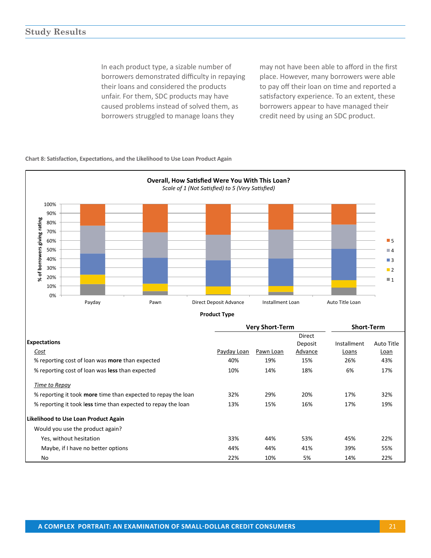In each product type, a sizable number of borrowers demonstrated difficulty in repaying their loans and considered the products unfair. For them, SDC products may have caused problems instead of solved them, as borrowers struggled to manage loans they

may not have been able to afford in the first place. However, many borrowers were able to pay off their loan on time and reported a satisfactory experience. To an extent, these borrowers appear to have managed their credit need by using an SDC product.

**Chart 8: Satisfaction, Expectations, and the Likelihood to Use Loan Product Again**

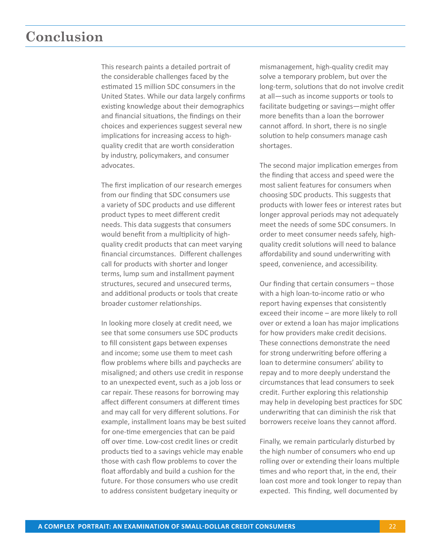## **Conclusion**

This research paints a detailed portrait of the considerable challenges faced by the estimated 15 million SDC consumers in the United States. While our data largely confirms existing knowledge about their demographics and financial situations, the findings on their choices and experiences suggest several new implications for increasing access to highquality credit that are worth consideration by industry, policymakers, and consumer advocates.

The first implication of our research emerges from our finding that SDC consumers use a variety of SDC products and use different product types to meet different credit needs. This data suggests that consumers would benefit from a multiplicity of highquality credit products that can meet varying financial circumstances. Different challenges call for products with shorter and longer terms, lump sum and installment payment structures, secured and unsecured terms, and additional products or tools that create broader customer relationships.

In looking more closely at credit need, we see that some consumers use SDC products to fill consistent gaps between expenses and income; some use them to meet cash flow problems where bills and paychecks are misaligned; and others use credit in response to an unexpected event, such as a job loss or car repair. These reasons for borrowing may affect different consumers at different times and may call for very different solutions. For example, installment loans may be best suited for one-time emergencies that can be paid off over time. Low-cost credit lines or credit products tied to a savings vehicle may enable those with cash flow problems to cover the float affordably and build a cushion for the future. For those consumers who use credit to address consistent budgetary inequity or

mismanagement, high-quality credit may solve a temporary problem, but over the long-term, solutions that do not involve credit at all—such as income supports or tools to facilitate budgeting or savings—might offer more benefits than a loan the borrower cannot afford. In short, there is no single solution to help consumers manage cash shortages.

The second major implication emerges from the finding that access and speed were the most salient features for consumers when choosing SDC products. This suggests that products with lower fees or interest rates but longer approval periods may not adequately meet the needs of some SDC consumers. In order to meet consumer needs safely, highquality credit solutions will need to balance affordability and sound underwriting with speed, convenience, and accessibility.

Our finding that certain consumers – those with a high loan-to-income ratio or who report having expenses that consistently exceed their income – are more likely to roll over or extend a loan has major implications for how providers make credit decisions. These connections demonstrate the need for strong underwriting before offering a loan to determine consumers' ability to repay and to more deeply understand the circumstances that lead consumers to seek credit. Further exploring this relationship may help in developing best practices for SDC underwriting that can diminish the risk that borrowers receive loans they cannot afford.

Finally, we remain particularly disturbed by the high number of consumers who end up rolling over or extending their loans multiple times and who report that, in the end, their loan cost more and took longer to repay than expected. This finding, well documented by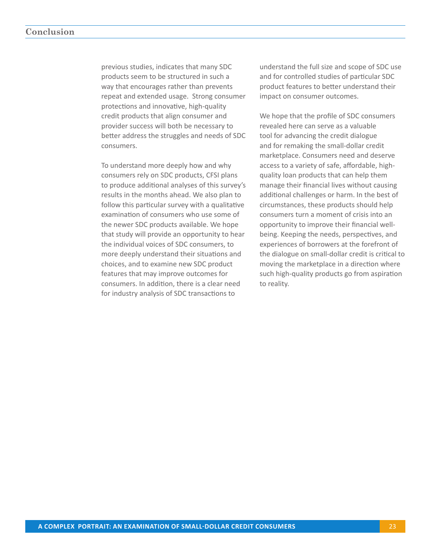## **Conclusion**

previous studies, indicates that many SDC products seem to be structured in such a way that encourages rather than prevents repeat and extended usage. Strong consumer protections and innovative, high-quality credit products that align consumer and provider success will both be necessary to better address the struggles and needs of SDC consumers.

To understand more deeply how and why consumers rely on SDC products, CFSI plans to produce additional analyses of this survey's results in the months ahead. We also plan to follow this particular survey with a qualitative examination of consumers who use some of the newer SDC products available. We hope that study will provide an opportunity to hear the individual voices of SDC consumers, to more deeply understand their situations and choices, and to examine new SDC product features that may improve outcomes for consumers. In addition, there is a clear need for industry analysis of SDC transactions to

understand the full size and scope of SDC use and for controlled studies of particular SDC product features to better understand their impact on consumer outcomes.

We hope that the profile of SDC consumers revealed here can serve as a valuable tool for advancing the credit dialogue and for remaking the small-dollar credit marketplace. Consumers need and deserve access to a variety of safe, affordable, highquality loan products that can help them manage their financial lives without causing additional challenges or harm. In the best of circumstances, these products should help consumers turn a moment of crisis into an opportunity to improve their financial wellbeing. Keeping the needs, perspectives, and experiences of borrowers at the forefront of the dialogue on small-dollar credit is critical to moving the marketplace in a direction where such high-quality products go from aspiration to reality.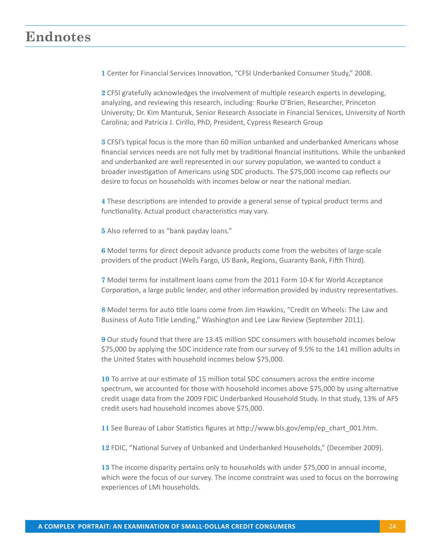## **Endnotes**

**1** Center for Financial Services Innovation, "CFSI Underbanked Consumer Study," 2008.

**2** CFSI gratefully acknowledges the involvement of multiple research experts in developing, analyzing, and reviewing this research, including: Rourke O'Brien, Researcher, Princeton University; Dr. Kim Manturuk, Senior Research Associate in Financial Services, University of North Carolina; and Patricia J. Cirillo, PhD, President, Cypress Research Group

**3** CFSI's typical focus is the more than 60 million unbanked and underbanked Americans whose financial services needs are not fully met by traditional financial institutions. While the unbanked and underbanked are well represented in our survey population, we wanted to conduct a broader investigation of Americans using SDC products. The \$75,000 income cap reflects our desire to focus on households with incomes below or near the national median.

**4** These descriptions are intended to provide a general sense of typical product terms and functionality. Actual product characteristics may vary.

**5** Also referred to as "bank payday loans."

**6** Model terms for direct deposit advance products come from the websites of large-scale providers of the product (Wells Fargo, US Bank, Regions, Guaranty Bank, Fifth Third).

**7** Model terms for installment loans come from the 2011 Form 10-K for World Acceptance Corporation, a large public lender, and other information provided by industry representatives.

**8** Model terms for auto title loans come from Jim Hawkins, "Credit on Wheels: The Law and Business of Auto Title Lending," Washington and Lee Law Review (September 2011).

**9** Our study found that there are 13.45 million SDC consumers with household incomes below \$75,000 by applying the SDC incidence rate from our survey of 9.5% to the 141 million adults in the United States with household incomes below \$75,000.

**10** To arrive at our estimate of 15 million total SDC consumers across the entire income spectrum, we accounted for those with household incomes above \$75,000 by using alternative credit usage data from the 2009 FDIC Underbanked Household Study. In that study, 13% of AFS credit users had household incomes above \$75,000.

**11** See Bureau of Labor Statistics figures at http://www.bls.gov/emp/ep\_chart\_001.htm.

**12** FDIC, "National Survey of Unbanked and Underbanked Households," (December 2009).

**13** The income disparity pertains only to households with under \$75,000 in annual income, which were the focus of our survey. The income constraint was used to focus on the borrowing experiences of LMI households.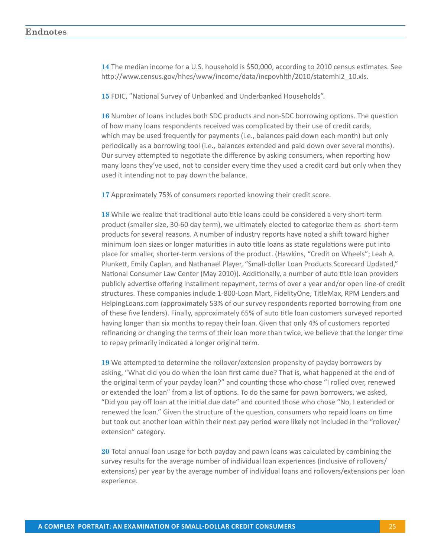**14** The median income for a U.S. household is \$50,000, according to 2010 census estimates. See http://www.census.gov/hhes/www/income/data/incpovhlth/2010/statemhi2\_10.xls.

**15** FDIC, "National Survey of Unbanked and Underbanked Households".

**16** Number of loans includes both SDC products and non-SDC borrowing options. The question of how many loans respondents received was complicated by their use of credit cards, which may be used frequently for payments (i.e., balances paid down each month) but only periodically as a borrowing tool (i.e., balances extended and paid down over several months). Our survey attempted to negotiate the difference by asking consumers, when reporting how many loans they've used, not to consider every time they used a credit card but only when they used it intending not to pay down the balance.

**17** Approximately 75% of consumers reported knowing their credit score.

**18** While we realize that traditional auto title loans could be considered a very short-term product (smaller size, 30-60 day term), we ultimately elected to categorize them as short-term products for several reasons. A number of industry reports have noted a shift toward higher minimum loan sizes or longer maturities in auto title loans as state regulations were put into place for smaller, shorter-term versions of the product. (Hawkins, "Credit on Wheels"; Leah A. Plunkett, Emily Caplan, and Nathanael Player, "Small-dollar Loan Products Scorecard Updated," National Consumer Law Center (May 2010)). Additionally, a number of auto title loan providers publicly advertise offering installment repayment, terms of over a year and/or open line-of credit structures. These companies include 1-800-Loan Mart, FidelityOne, TitleMax, RPM Lenders and HelpingLoans.com (approximately 53% of our survey respondents reported borrowing from one of these five lenders). Finally, approximately 65% of auto title loan customers surveyed reported having longer than six months to repay their loan. Given that only 4% of customers reported refinancing or changing the terms of their loan more than twice, we believe that the longer time to repay primarily indicated a longer original term.

**19** We attempted to determine the rollover/extension propensity of payday borrowers by asking, "What did you do when the loan first came due? That is, what happened at the end of the original term of your payday loan?" and counting those who chose "I rolled over, renewed or extended the loan" from a list of options. To do the same for pawn borrowers, we asked, "Did you pay off loan at the initial due date" and counted those who chose "No, I extended or renewed the loan." Given the structure of the question, consumers who repaid loans on time but took out another loan within their next pay period were likely not included in the "rollover/ extension" category.

**20** Total annual loan usage for both payday and pawn loans was calculated by combining the survey results for the average number of individual loan experiences (inclusive of rollovers/ extensions) per year by the average number of individual loans and rollovers/extensions per loan experience.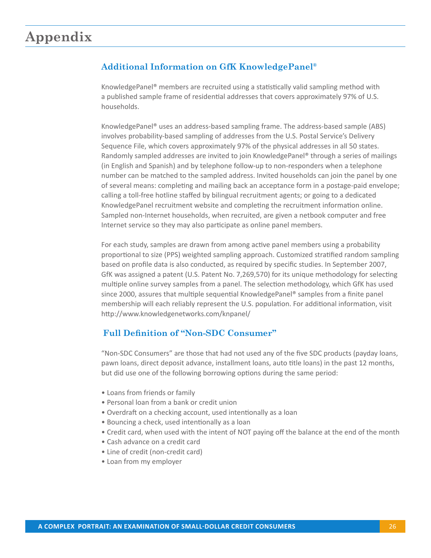## **Appendix**

## **Additional Information on GfK KnowledgePanel®**

KnowledgePanel® members are recruited using a statistically valid sampling method with a published sample frame of residential addresses that covers approximately 97% of U.S. households.

KnowledgePanel® uses an address-based sampling frame. The address-based sample (ABS) involves probability-based sampling of addresses from the U.S. Postal Service's Delivery Sequence File, which covers approximately 97% of the physical addresses in all 50 states. Randomly sampled addresses are invited to join KnowledgePanel® through a series of mailings (in English and Spanish) and by telephone follow-up to non-responders when a telephone number can be matched to the sampled address. Invited households can join the panel by one of several means: completing and mailing back an acceptance form in a postage-paid envelope; calling a toll-free hotline staffed by bilingual recruitment agents; or going to a dedicated KnowledgePanel recruitment website and completing the recruitment information online. Sampled non-Internet households, when recruited, are given a netbook computer and free Internet service so they may also participate as online panel members.

For each study, samples are drawn from among active panel members using a probability proportional to size (PPS) weighted sampling approach. Customized stratified random sampling based on profile data is also conducted, as required by specific studies. In September 2007, GfK was assigned a patent (U.S. Patent No. 7,269,570) for its unique methodology for selecting multiple online survey samples from a panel. The selection methodology, which GfK has used since 2000, assures that multiple sequential KnowledgePanel® samples from a finite panel membership will each reliably represent the U.S. population. For additional information, visit http://www.knowledgenetworks.com/knpanel/

## **Full Definition of "Non-SDC Consumer"**

"Non-SDC Consumers" are those that had not used any of the five SDC products (payday loans, pawn loans, direct deposit advance, installment loans, auto title loans) in the past 12 months, but did use one of the following borrowing options during the same period:

- Loans from friends or family
- Personal loan from a bank or credit union
- Overdraft on a checking account, used intentionally as a loan
- Bouncing a check, used intentionally as a loan
- Credit card, when used with the intent of NOT paying off the balance at the end of the month
- Cash advance on a credit card
- Line of credit (non-credit card)
- Loan from my employer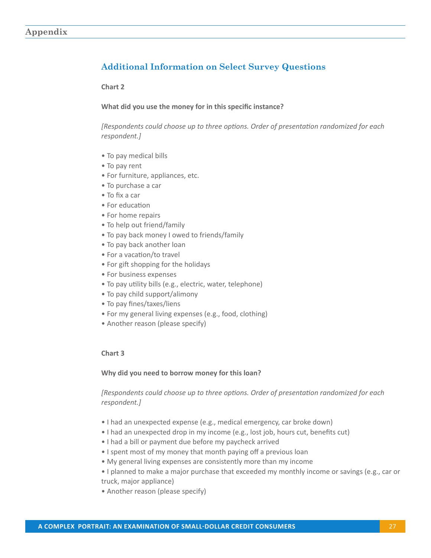## **Additional Information on Select Survey Questions**

#### **Chart 2**

#### **What did you use the money for in this specific instance?**

*[Respondents could choose up to three options. Order of presentation randomized for each respondent.]*

- To pay medical bills
- To pay rent
- For furniture, appliances, etc.
- To purchase a car
- To fix a car
- For education
- For home repairs
- To help out friend/family
- To pay back money I owed to friends/family
- To pay back another loan
- For a vacation/to travel
- For gift shopping for the holidays
- For business expenses
- To pay utility bills (e.g., electric, water, telephone)
- To pay child support/alimony
- To pay fines/taxes/liens
- For my general living expenses (e.g., food, clothing)
- Another reason (please specify)

#### **Chart 3**

#### **Why did you need to borrow money for this loan?**

*[Respondents could choose up to three options. Order of presentation randomized for each respondent.]*

- I had an unexpected expense (e.g., medical emergency, car broke down)
- I had an unexpected drop in my income (e.g., lost job, hours cut, benefits cut)
- I had a bill or payment due before my paycheck arrived
- I spent most of my money that month paying off a previous loan
- My general living expenses are consistently more than my income
- I planned to make a major purchase that exceeded my monthly income or savings (e.g., car or truck, major appliance)
- Another reason (please specify)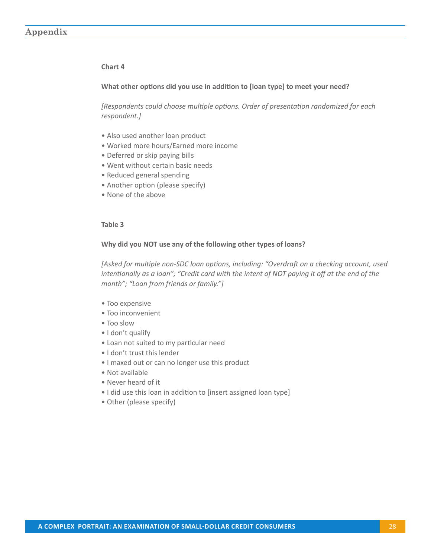#### **Chart 4**

#### **What other options did you use in addition to [loan type] to meet your need?**

*[Respondents could choose multiple options. Order of presentation randomized for each respondent.]*

- Also used another loan product
- Worked more hours/Earned more income
- Deferred or skip paying bills
- Went without certain basic needs
- Reduced general spending
- Another option (please specify)
- None of the above

#### **Table 3**

#### **Why did you NOT use any of the following other types of loans?**

*[Asked for multiple non-SDC loan options, including: "Overdraft on a checking account, used intentionally as a loan"; "Credit card with the intent of NOT paying it off at the end of the month"; "Loan from friends or family."]*

- Too expensive
- Too inconvenient
- Too slow
- I don't qualify
- Loan not suited to my particular need
- I don't trust this lender
- I maxed out or can no longer use this product
- Not available
- Never heard of it
- I did use this loan in addition to [insert assigned loan type]
- Other (please specify)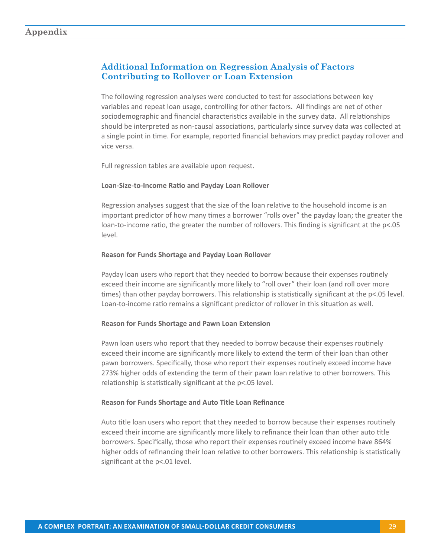## **Additional Information on Regression Analysis of Factors Contributing to Rollover or Loan Extension**

The following regression analyses were conducted to test for associations between key variables and repeat loan usage, controlling for other factors. All findings are net of other sociodemographic and financial characteristics available in the survey data. All relationships should be interpreted as non-causal associations, particularly since survey data was collected at a single point in time. For example, reported financial behaviors may predict payday rollover and vice versa.

Full regression tables are available upon request.

#### **Loan-Size-to-Income Ratio and Payday Loan Rollover**

Regression analyses suggest that the size of the loan relative to the household income is an important predictor of how many times a borrower "rolls over" the payday loan; the greater the loan-to-income ratio, the greater the number of rollovers. This finding is significant at the p<.05 level.

#### **Reason for Funds Shortage and Payday Loan Rollover**

Payday loan users who report that they needed to borrow because their expenses routinely exceed their income are significantly more likely to "roll over" their loan (and roll over more times) than other payday borrowers. This relationship is statistically significant at the p<.05 level. Loan-to-income ratio remains a significant predictor of rollover in this situation as well.

#### **Reason for Funds Shortage and Pawn Loan Extension**

Pawn loan users who report that they needed to borrow because their expenses routinely exceed their income are significantly more likely to extend the term of their loan than other pawn borrowers. Specifically, those who report their expenses routinely exceed income have 273% higher odds of extending the term of their pawn loan relative to other borrowers. This relationship is statistically significant at the p<.05 level.

#### **Reason for Funds Shortage and Auto Title Loan Refinance**

Auto title loan users who report that they needed to borrow because their expenses routinely exceed their income are significantly more likely to refinance their loan than other auto title borrowers. Specifically, those who report their expenses routinely exceed income have 864% higher odds of refinancing their loan relative to other borrowers. This relationship is statistically significant at the p<.01 level.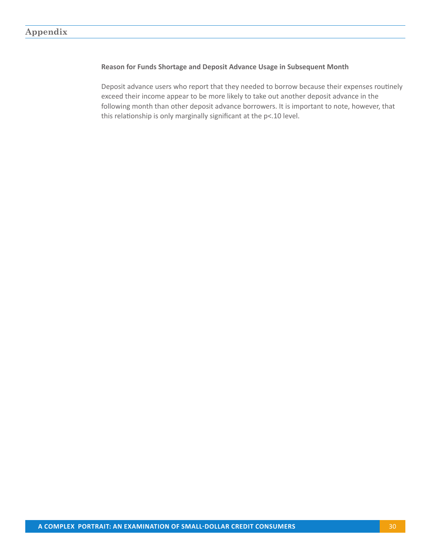#### **Reason for Funds Shortage and Deposit Advance Usage in Subsequent Month**

Deposit advance users who report that they needed to borrow because their expenses routinely exceed their income appear to be more likely to take out another deposit advance in the following month than other deposit advance borrowers. It is important to note, however, that this relationship is only marginally significant at the p<.10 level.